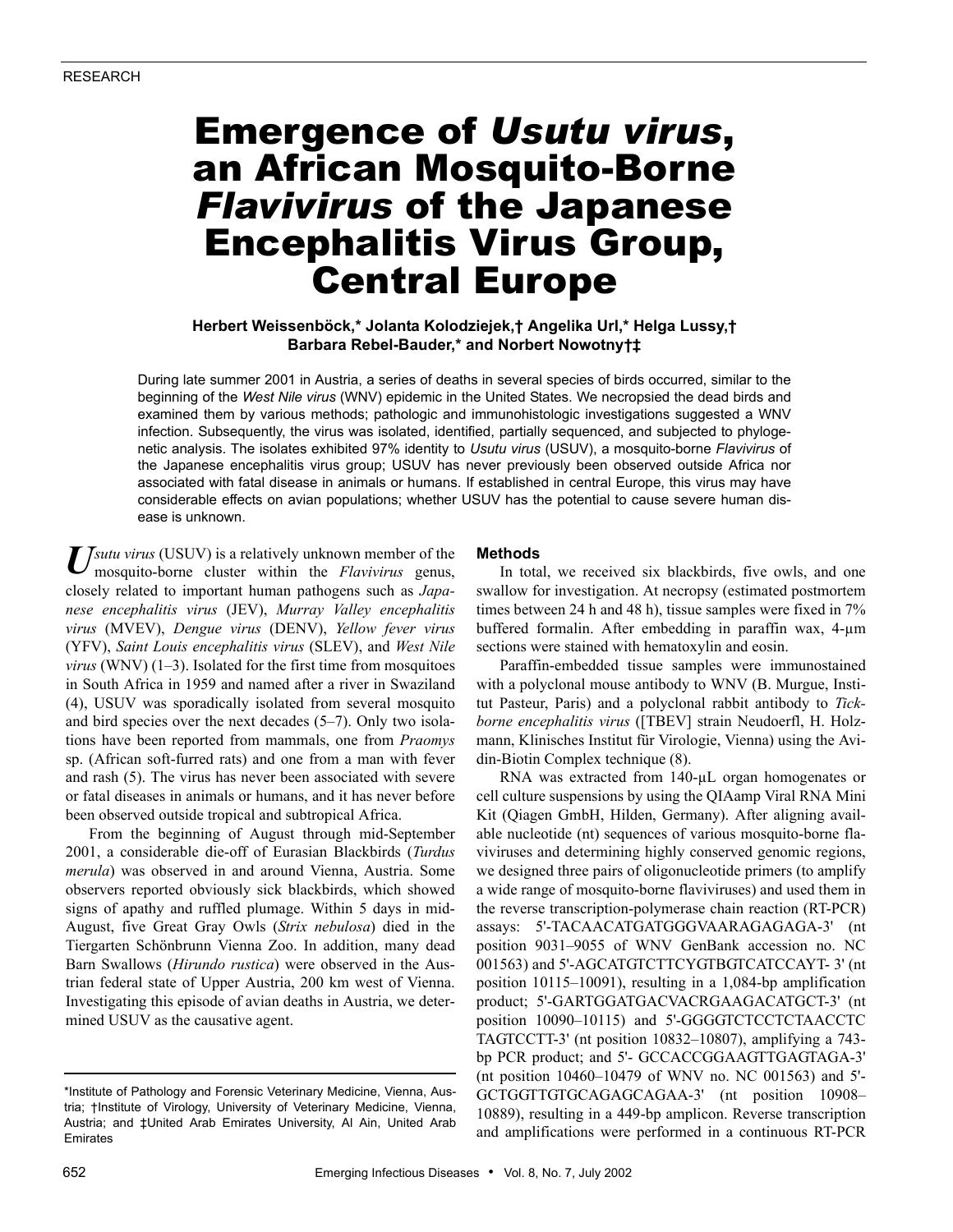# Emergence of *Usutu virus*, an African Mosquito-Borne *Flavivirus* of the Japanese Encephalitis Virus Group, Central Europe

## **Herbert Weissenböck,\* Jolanta Kolodziejek,† Angelika Url,\* Helga Lussy,† Barbara Rebel-Bauder,\* and Norbert Nowotny†‡**

During late summer 2001 in Austria, a series of deaths in several species of birds occurred, similar to the beginning of the *West Nile virus* (WNV) epidemic in the United States. We necropsied the dead birds and examined them by various methods; pathologic and immunohistologic investigations suggested a WNV infection. Subsequently, the virus was isolated, identified, partially sequenced, and subjected to phylogenetic analysis. The isolates exhibited 97% identity to *Usutu virus* (USUV), a mosquito-borne *Flavivirus* of the Japanese encephalitis virus group; USUV has never previously been observed outside Africa nor associated with fatal disease in animals or humans. If established in central Europe, this virus may have considerable effects on avian populations; whether USUV has the potential to cause severe human disease is unknown.

Usutu virus (USUV) is a relatively unknown member of the mosquito-borne cluster within the *Flavivirus* genus, mosquito-borne cluster within the *Flavivirus* genus, closely related to important human pathogens such as *Japanese encephalitis virus* (JEV), *Murray Valley encephalitis virus* (MVEV), *Dengue virus* (DENV), *Yellow fever virus* (YFV), *Saint Louis encephalitis virus* (SLEV), and *West Nile virus* (WNV) (1–3). Isolated for the first time from mosquitoes in South Africa in 1959 and named after a river in Swaziland (4), USUV was sporadically isolated from several mosquito and bird species over the next decades (5–7). Only two isolations have been reported from mammals, one from *Praomys* sp. (African soft-furred rats) and one from a man with fever and rash (5). The virus has never been associated with severe or fatal diseases in animals or humans, and it has never before been observed outside tropical and subtropical Africa.

From the beginning of August through mid-September 2001, a considerable die-off of Eurasian Blackbirds (*Turdus merula*) was observed in and around Vienna, Austria. Some observers reported obviously sick blackbirds, which showed signs of apathy and ruffled plumage. Within 5 days in mid-August, five Great Gray Owls (*Strix nebulosa*) died in the Tiergarten Schönbrunn Vienna Zoo. In addition, many dead Barn Swallows (*Hirundo rustica*) were observed in the Austrian federal state of Upper Austria, 200 km west of Vienna. Investigating this episode of avian deaths in Austria, we determined USUV as the causative agent.

## **Methods**

In total, we received six blackbirds, five owls, and one swallow for investigation. At necropsy (estimated postmortem times between 24 h and 48 h), tissue samples were fixed in 7% buffered formalin. After embedding in paraffin wax, 4-µm sections were stained with hematoxylin and eosin.

Paraffin-embedded tissue samples were immunostained with a polyclonal mouse antibody to WNV (B. Murgue, Institut Pasteur, Paris) and a polyclonal rabbit antibody to *Tickborne encephalitis virus* ([TBEV] strain Neudoerfl, H. Holzmann, Klinisches Institut für Virologie, Vienna) using the Avidin-Biotin Complex technique (8).

RNA was extracted from 140-µL organ homogenates or cell culture suspensions by using the QIAamp Viral RNA Mini Kit (Qiagen GmbH, Hilden, Germany). After aligning available nucleotide (nt) sequences of various mosquito-borne flaviviruses and determining highly conserved genomic regions, we designed three pairs of oligonucleotide primers (to amplify a wide range of mosquito-borne flaviviruses) and used them in the reverse transcription-polymerase chain reaction (RT-PCR) assays: 5'-TACAACATGATGGGVAARAGAGAGA-3' (nt position 9031–9055 of WNV GenBank accession no. NC 001563) and 5'-AGCATGTCTTCYGTBGTCATCCAYT- 3' (nt position 10115–10091), resulting in a 1,084-bp amplification product; 5'-GARTGGATGACVACRGAAGACATGCT-3' (nt position 10090–10115) and 5'-GGGGTCTCCTCTAACCTC TAGTCCTT-3' (nt position 10832–10807), amplifying a 743 bp PCR product; and 5'- GCCACCGGAAGTTGAGTAGA-3' (nt position 10460–10479 of WNV no. NC 001563) and 5'- GCTGGTTGTGCAGAGCAGAA-3' (nt position 10908– 10889), resulting in a 449-bp amplicon. Reverse transcription and amplifications were performed in a continuous RT-PCR

<sup>\*</sup>Institute of Pathology and Forensic Veterinary Medicine, Vienna, Austria; †Institute of Virology, University of Veterinary Medicine, Vienna, Austria; and ‡United Arab Emirates University, Al Ain, United Arab Emirates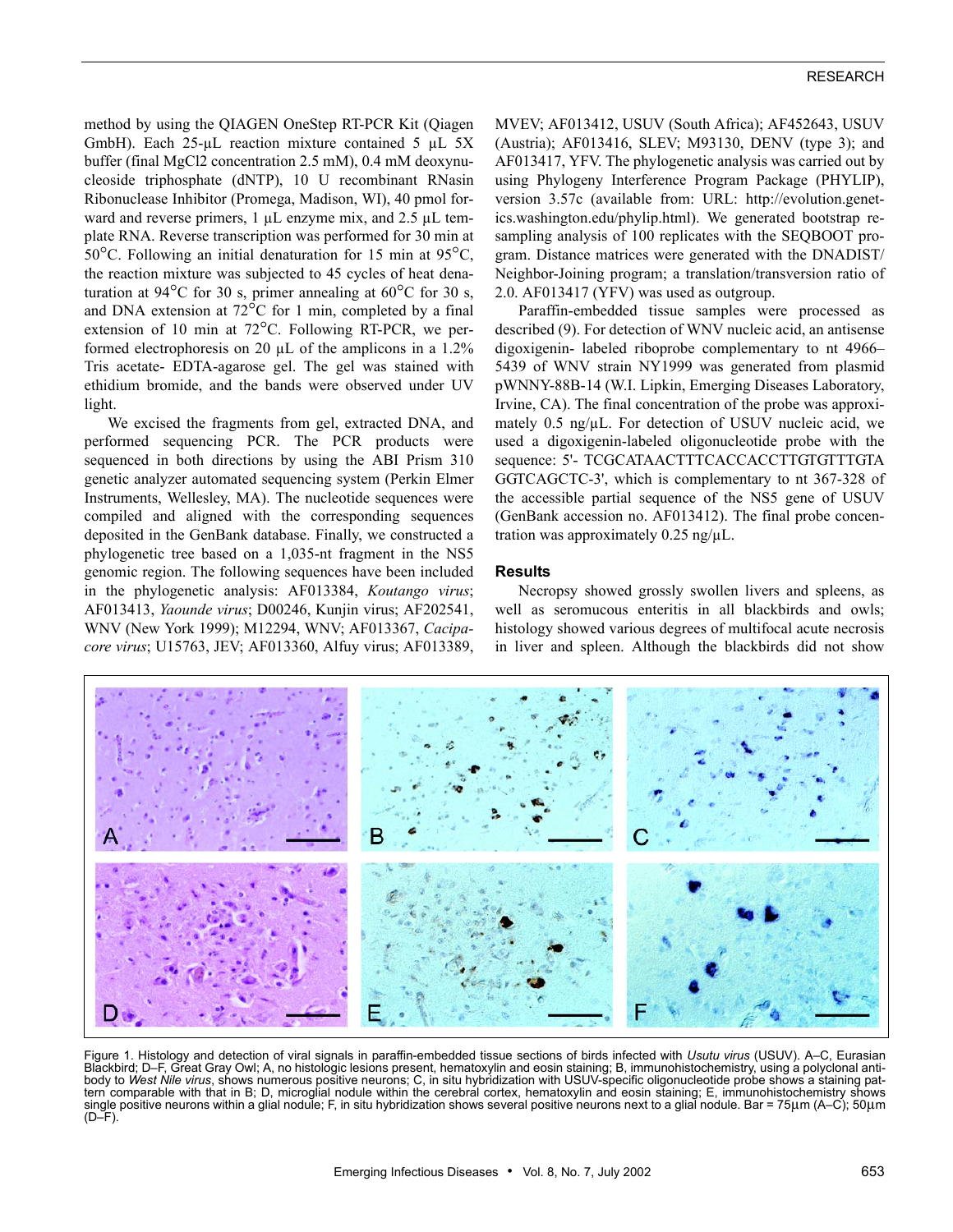method by using the QIAGEN OneStep RT-PCR Kit (Qiagen GmbH). Each 25-µL reaction mixture contained 5 µL 5X buffer (final MgCl2 concentration 2.5 mM), 0.4 mM deoxynucleoside triphosphate (dNTP), 10 U recombinant RNasin Ribonuclease Inhibitor (Promega, Madison, WI), 40 pmol forward and reverse primers, 1  $\mu$ L enzyme mix, and 2.5  $\mu$ L template RNA. Reverse transcription was performed for 30 min at 50°C. Following an initial denaturation for 15 min at 95°C, the reaction mixture was subjected to 45 cycles of heat denaturation at 94 $\rm ^{o}C$  for 30 s, primer annealing at 60 $\rm ^{o}C$  for 30 s, and DNA extension at 72°C for 1 min, completed by a final extension of 10 min at 72°C. Following RT-PCR, we performed electrophoresis on 20 µL of the amplicons in a 1.2% Tris acetate- EDTA-agarose gel. The gel was stained with ethidium bromide, and the bands were observed under UV light.

We excised the fragments from gel, extracted DNA, and performed sequencing PCR. The PCR products were sequenced in both directions by using the ABI Prism 310 genetic analyzer automated sequencing system (Perkin Elmer Instruments, Wellesley, MA). The nucleotide sequences were compiled and aligned with the corresponding sequences deposited in the GenBank database. Finally, we constructed a phylogenetic tree based on a 1,035-nt fragment in the NS5 genomic region. The following sequences have been included in the phylogenetic analysis: AF013384, *Koutango virus*; AF013413, *Yaounde virus*; D00246, Kunjin virus; AF202541, WNV (New York 1999); M12294, WNV; AF013367, *Cacipacore virus*; U15763, JEV; AF013360, Alfuy virus; AF013389,

MVEV; AF013412, USUV (South Africa); AF452643, USUV (Austria); AF013416, SLEV; M93130, DENV (type 3); and AF013417, YFV. The phylogenetic analysis was carried out by using Phylogeny Interference Program Package (PHYLIP), version 3.57c (available from: URL: http://evolution.genetics.washington.edu/phylip.html). We generated bootstrap resampling analysis of 100 replicates with the SEQBOOT program. Distance matrices were generated with the DNADIST/ Neighbor-Joining program; a translation/transversion ratio of 2.0. AF013417 (YFV) was used as outgroup.

Paraffin-embedded tissue samples were processed as described (9). For detection of WNV nucleic acid, an antisense digoxigenin- labeled riboprobe complementary to nt 4966– 5439 of WNV strain NY1999 was generated from plasmid pWNNY-88B-14 (W.I. Lipkin, Emerging Diseases Laboratory, Irvine, CA). The final concentration of the probe was approximately 0.5 ng/ $\mu$ L. For detection of USUV nucleic acid, we used a digoxigenin-labeled oligonucleotide probe with the sequence: 5'- TCGCATAACTTTCACCACCTTGTGTTTGTA GGTCAGCTC-3', which is complementary to nt 367-328 of the accessible partial sequence of the NS5 gene of USUV (GenBank accession no. AF013412). The final probe concentration was approximately  $0.25$  ng/ $\mu$ L.

## **Results**

Necropsy showed grossly swollen livers and spleens, as well as seromucous enteritis in all blackbirds and owls; histology showed various degrees of multifocal acute necrosis in liver and spleen. Although the blackbirds did not show



Figure 1. Histology and detection of viral signals in paraffin-embedded tissue sections of birds infected with *Usutu virus* (USUV). A–C, Eurasian Blackbird; D–F, Great Gray Owl; A, no histologic lesions present, hematoxylin and eosin staining; B, immunohistochemistry, using a polyclonal antibody to *West Nile virus*, shows numerous positive neurons; C, in situ hybridization with USUV-specific oligonucleotide probe shows a staining pattern comparable with that in B; D, microglial nodule within the cerebral cortex, hematoxylin and eosin staining; E, immunohistochemistry shows single positive neurons within a glial nodule; F, in situ hybridization shows several positive neurons next to a glial nodule. Bar = 75µm (A–C); 50µm  $(D-F)$ .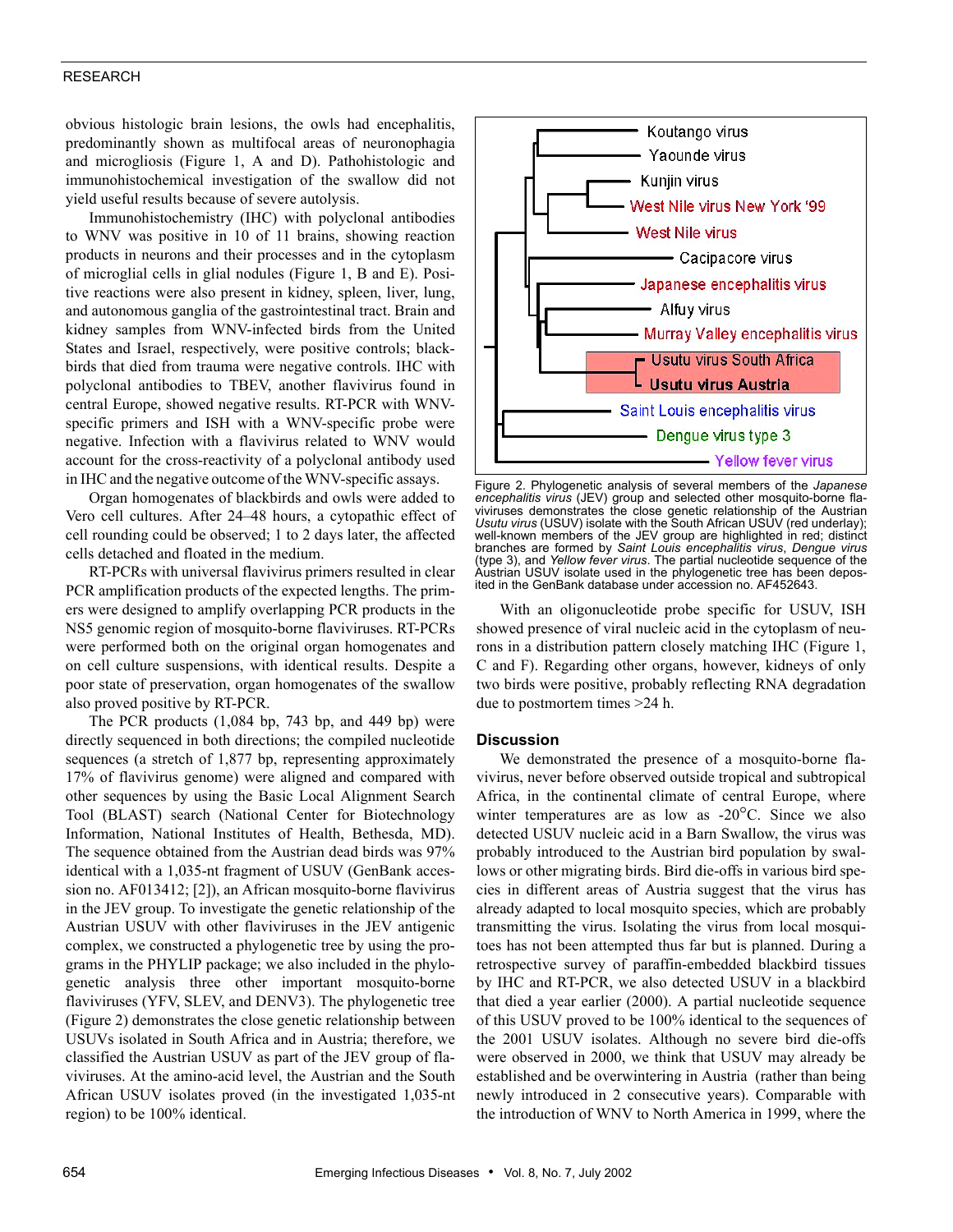## RESEARCH

obvious histologic brain lesions, the owls had encephalitis, predominantly shown as multifocal areas of neuronophagia and microgliosis (Figure 1, A and D). Pathohistologic and immunohistochemical investigation of the swallow did not yield useful results because of severe autolysis.

Immunohistochemistry (IHC) with polyclonal antibodies to WNV was positive in 10 of 11 brains, showing reaction products in neurons and their processes and in the cytoplasm of microglial cells in glial nodules (Figure 1, B and E). Positive reactions were also present in kidney, spleen, liver, lung, and autonomous ganglia of the gastrointestinal tract. Brain and kidney samples from WNV-infected birds from the United States and Israel, respectively, were positive controls; blackbirds that died from trauma were negative controls. IHC with polyclonal antibodies to TBEV, another flavivirus found in central Europe, showed negative results. RT-PCR with WNVspecific primers and ISH with a WNV-specific probe were negative. Infection with a flavivirus related to WNV would account for the cross-reactivity of a polyclonal antibody used in IHC and the negative outcome of the WNV-specific assays.

Organ homogenates of blackbirds and owls were added to Vero cell cultures. After 24–48 hours, a cytopathic effect of cell rounding could be observed; 1 to 2 days later, the affected cells detached and floated in the medium.

RT-PCRs with universal flavivirus primers resulted in clear PCR amplification products of the expected lengths. The primers were designed to amplify overlapping PCR products in the NS5 genomic region of mosquito-borne flaviviruses. RT-PCRs were performed both on the original organ homogenates and on cell culture suspensions, with identical results. Despite a poor state of preservation, organ homogenates of the swallow also proved positive by RT-PCR.

The PCR products (1,084 bp, 743 bp, and 449 bp) were directly sequenced in both directions; the compiled nucleotide sequences (a stretch of 1,877 bp, representing approximately 17% of flavivirus genome) were aligned and compared with other sequences by using the Basic Local Alignment Search Tool (BLAST) search (National Center for Biotechnology Information, National Institutes of Health, Bethesda, MD). The sequence obtained from the Austrian dead birds was 97% identical with a 1,035-nt fragment of USUV (GenBank accession no. AF013412; [2]), an African mosquito-borne flavivirus in the JEV group. To investigate the genetic relationship of the Austrian USUV with other flaviviruses in the JEV antigenic complex, we constructed a phylogenetic tree by using the programs in the PHYLIP package; we also included in the phylogenetic analysis three other important mosquito-borne flaviviruses (YFV, SLEV, and DENV3). The phylogenetic tree (Figure 2) demonstrates the close genetic relationship between USUVs isolated in South Africa and in Austria; therefore, we classified the Austrian USUV as part of the JEV group of flaviviruses. At the amino-acid level, the Austrian and the South African USUV isolates proved (in the investigated 1,035-nt region) to be 100% identical.



Figure 2. Phylogenetic analysis of several members of the *Japanese encephalitis virus* (JEV) group and selected other mosquito-borne fla-viviruses demonstrates the close genetic relationship of the Austrian *Usutu virus* (USUV) isolate with the South African USUV (red underlay); well-known members of the JEV group are highlighted in red; distinct branches are formed by *Saint Louis encephalitis virus*, *Dengue virus* (type 3), and *Yellow fever virus*. The partial nucleotide sequence of the Austrian USUV isolate used in the phylogenetic tree has been deposited in the GenBank database under accession no. AF452643.

With an oligonucleotide probe specific for USUV, ISH showed presence of viral nucleic acid in the cytoplasm of neurons in a distribution pattern closely matching IHC (Figure 1, C and F). Regarding other organs, however, kidneys of only two birds were positive, probably reflecting RNA degradation due to postmortem times >24 h.

#### **Discussion**

We demonstrated the presence of a mosquito-borne flavivirus, never before observed outside tropical and subtropical Africa, in the continental climate of central Europe, where winter temperatures are as low as -20<sup>o</sup>C. Since we also detected USUV nucleic acid in a Barn Swallow, the virus was probably introduced to the Austrian bird population by swallows or other migrating birds. Bird die-offs in various bird species in different areas of Austria suggest that the virus has already adapted to local mosquito species, which are probably transmitting the virus. Isolating the virus from local mosquitoes has not been attempted thus far but is planned. During a retrospective survey of paraffin-embedded blackbird tissues by IHC and RT-PCR, we also detected USUV in a blackbird that died a year earlier (2000). A partial nucleotide sequence of this USUV proved to be 100% identical to the sequences of the 2001 USUV isolates. Although no severe bird die-offs were observed in 2000, we think that USUV may already be established and be overwintering in Austria (rather than being newly introduced in 2 consecutive years). Comparable with the introduction of WNV to North America in 1999, where the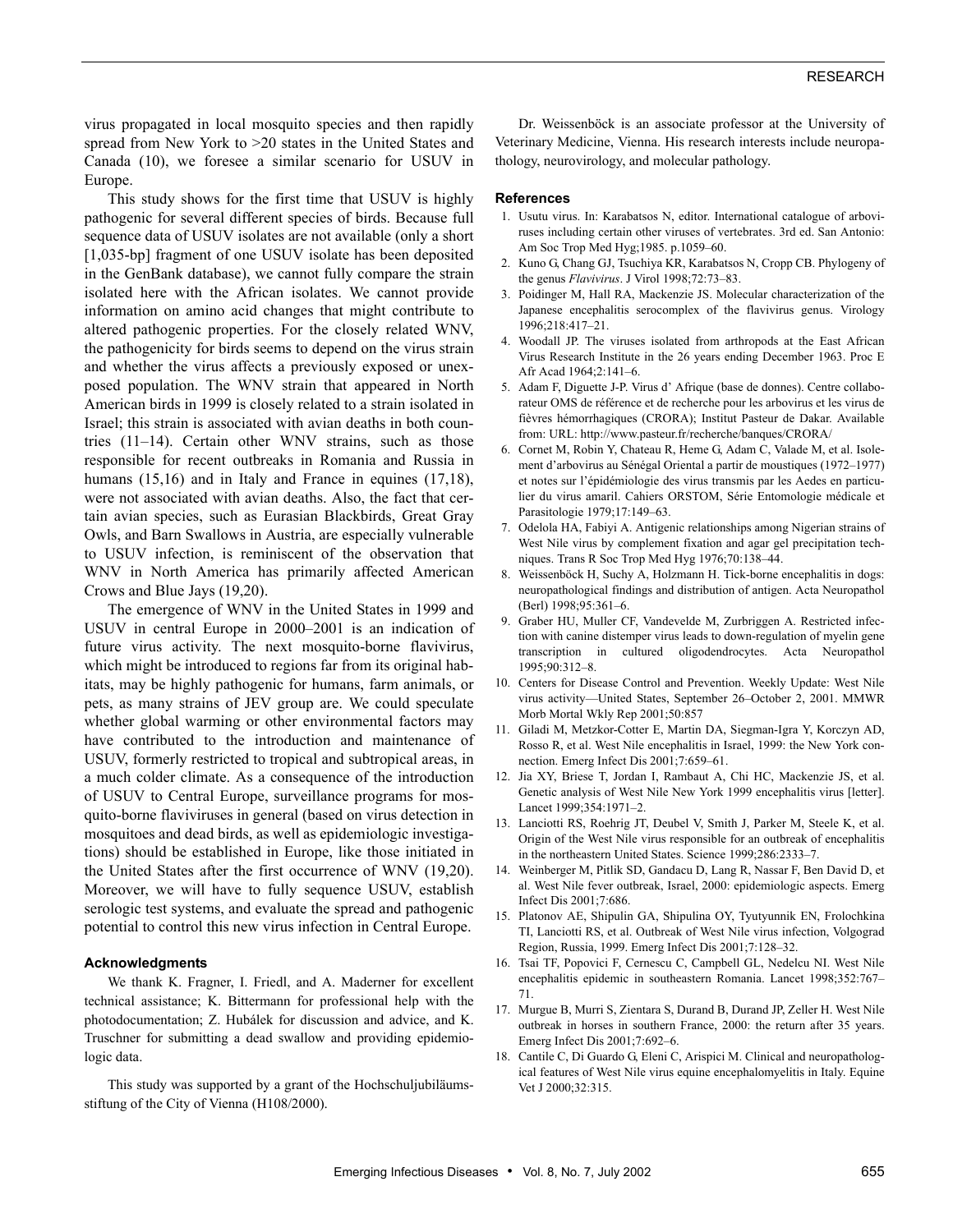virus propagated in local mosquito species and then rapidly spread from New York to >20 states in the United States and Canada (10), we foresee a similar scenario for USUV in Europe.

This study shows for the first time that USUV is highly pathogenic for several different species of birds. Because full sequence data of USUV isolates are not available (only a short [1,035-bp] fragment of one USUV isolate has been deposited in the GenBank database), we cannot fully compare the strain isolated here with the African isolates. We cannot provide information on amino acid changes that might contribute to altered pathogenic properties. For the closely related WNV, the pathogenicity for birds seems to depend on the virus strain and whether the virus affects a previously exposed or unexposed population. The WNV strain that appeared in North American birds in 1999 is closely related to a strain isolated in Israel; this strain is associated with avian deaths in both countries (11–14). Certain other WNV strains, such as those responsible for recent outbreaks in Romania and Russia in humans (15,16) and in Italy and France in equines (17,18), were not associated with avian deaths. Also, the fact that certain avian species, such as Eurasian Blackbirds, Great Gray Owls, and Barn Swallows in Austria, are especially vulnerable to USUV infection, is reminiscent of the observation that WNV in North America has primarily affected American Crows and Blue Jays (19,20).

The emergence of WNV in the United States in 1999 and USUV in central Europe in 2000–2001 is an indication of future virus activity. The next mosquito-borne flavivirus, which might be introduced to regions far from its original habitats, may be highly pathogenic for humans, farm animals, or pets, as many strains of JEV group are. We could speculate whether global warming or other environmental factors may have contributed to the introduction and maintenance of USUV, formerly restricted to tropical and subtropical areas, in a much colder climate. As a consequence of the introduction of USUV to Central Europe, surveillance programs for mosquito-borne flaviviruses in general (based on virus detection in mosquitoes and dead birds, as well as epidemiologic investigations) should be established in Europe, like those initiated in the United States after the first occurrence of WNV (19,20). Moreover, we will have to fully sequence USUV, establish serologic test systems, and evaluate the spread and pathogenic potential to control this new virus infection in Central Europe.

#### **Acknowledgments**

We thank K. Fragner, I. Friedl, and A. Maderner for excellent technical assistance; K. Bittermann for professional help with the photodocumentation; Z. Hubálek for discussion and advice, and K. Truschner for submitting a dead swallow and providing epidemiologic data.

This study was supported by a grant of the Hochschuljubiläumsstiftung of the City of Vienna (H108/2000).

Dr. Weissenböck is an associate professor at the University of Veterinary Medicine, Vienna. His research interests include neuropathology, neurovirology, and molecular pathology.

#### **References**

- 1. Usutu virus. In: Karabatsos N, editor. International catalogue of arboviruses including certain other viruses of vertebrates. 3rd ed. San Antonio: Am Soc Trop Med Hyg;1985. p.1059–60.
- 2. Kuno G, Chang GJ, Tsuchiya KR, Karabatsos N, Cropp CB. Phylogeny of the genus *Flavivirus*. J Virol 1998;72:73–83.
- 3. Poidinger M, Hall RA, Mackenzie JS. Molecular characterization of the Japanese encephalitis serocomplex of the flavivirus genus. Virology 1996;218:417–21.
- 4. Woodall JP. The viruses isolated from arthropods at the East African Virus Research Institute in the 26 years ending December 1963. Proc E Afr Acad 1964;2:141–6.
- 5. Adam F, Diguette J-P. Virus d' Afrique (base de donnes). Centre collaborateur OMS de référence et de recherche pour les arbovirus et les virus de fièvres hémorrhagiques (CRORA); Institut Pasteur de Dakar. Available from: URL: http://www.pasteur.fr/recherche/banques/CRORA/
- 6. Cornet M, Robin Y, Chateau R, Heme G, Adam C, Valade M, et al. Isolement d'arbovirus au Sénégal Oriental a partir de moustiques (1972–1977) et notes sur l'épidémiologie des virus transmis par les Aedes en particulier du virus amaril. Cahiers ORSTOM, Série Entomologie médicale et Parasitologie 1979;17:149–63.
- 7. Odelola HA, Fabiyi A. Antigenic relationships among Nigerian strains of West Nile virus by complement fixation and agar gel precipitation techniques. Trans R Soc Trop Med Hyg 1976;70:138–44.
- 8. Weissenböck H, Suchy A, Holzmann H. Tick-borne encephalitis in dogs: neuropathological findings and distribution of antigen. Acta Neuropathol (Berl) 1998;95:361–6.
- 9. Graber HU, Muller CF, Vandevelde M, Zurbriggen A. Restricted infection with canine distemper virus leads to down-regulation of myelin gene transcription in cultured oligodendrocytes. Acta Neuropathol 1995;90:312–8.
- 10. Centers for Disease Control and Prevention. Weekly Update: West Nile virus activity—United States, September 26–October 2, 2001. MMWR Morb Mortal Wkly Rep 2001;50:857
- 11. Giladi M, Metzkor-Cotter E, Martin DA, Siegman-Igra Y, Korczyn AD, Rosso R, et al. West Nile encephalitis in Israel, 1999: the New York connection. Emerg Infect Dis 2001;7:659–61.
- 12. Jia XY, Briese T, Jordan I, Rambaut A, Chi HC, Mackenzie JS, et al. Genetic analysis of West Nile New York 1999 encephalitis virus [letter]. Lancet 1999;354:1971–2.
- 13. Lanciotti RS, Roehrig JT, Deubel V, Smith J, Parker M, Steele K, et al. Origin of the West Nile virus responsible for an outbreak of encephalitis in the northeastern United States. Science 1999;286:2333–7.
- 14. Weinberger M, Pitlik SD, Gandacu D, Lang R, Nassar F, Ben David D, et al. West Nile fever outbreak, Israel, 2000: epidemiologic aspects. Emerg Infect Dis 2001;7:686.
- 15. Platonov AE, Shipulin GA, Shipulina OY, Tyutyunnik EN, Frolochkina TI, Lanciotti RS, et al. Outbreak of West Nile virus infection, Volgograd Region, Russia, 1999. Emerg Infect Dis 2001;7:128–32.
- 16. Tsai TF, Popovici F, Cernescu C, Campbell GL, Nedelcu NI. West Nile encephalitis epidemic in southeastern Romania. Lancet 1998;352:767– 71.
- 17. Murgue B, Murri S, Zientara S, Durand B, Durand JP, Zeller H. West Nile outbreak in horses in southern France, 2000: the return after 35 years. Emerg Infect Dis 2001;7:692–6.
- 18. Cantile C, Di Guardo G, Eleni C, Arispici M. Clinical and neuropathological features of West Nile virus equine encephalomyelitis in Italy. Equine Vet J 2000;32:315.